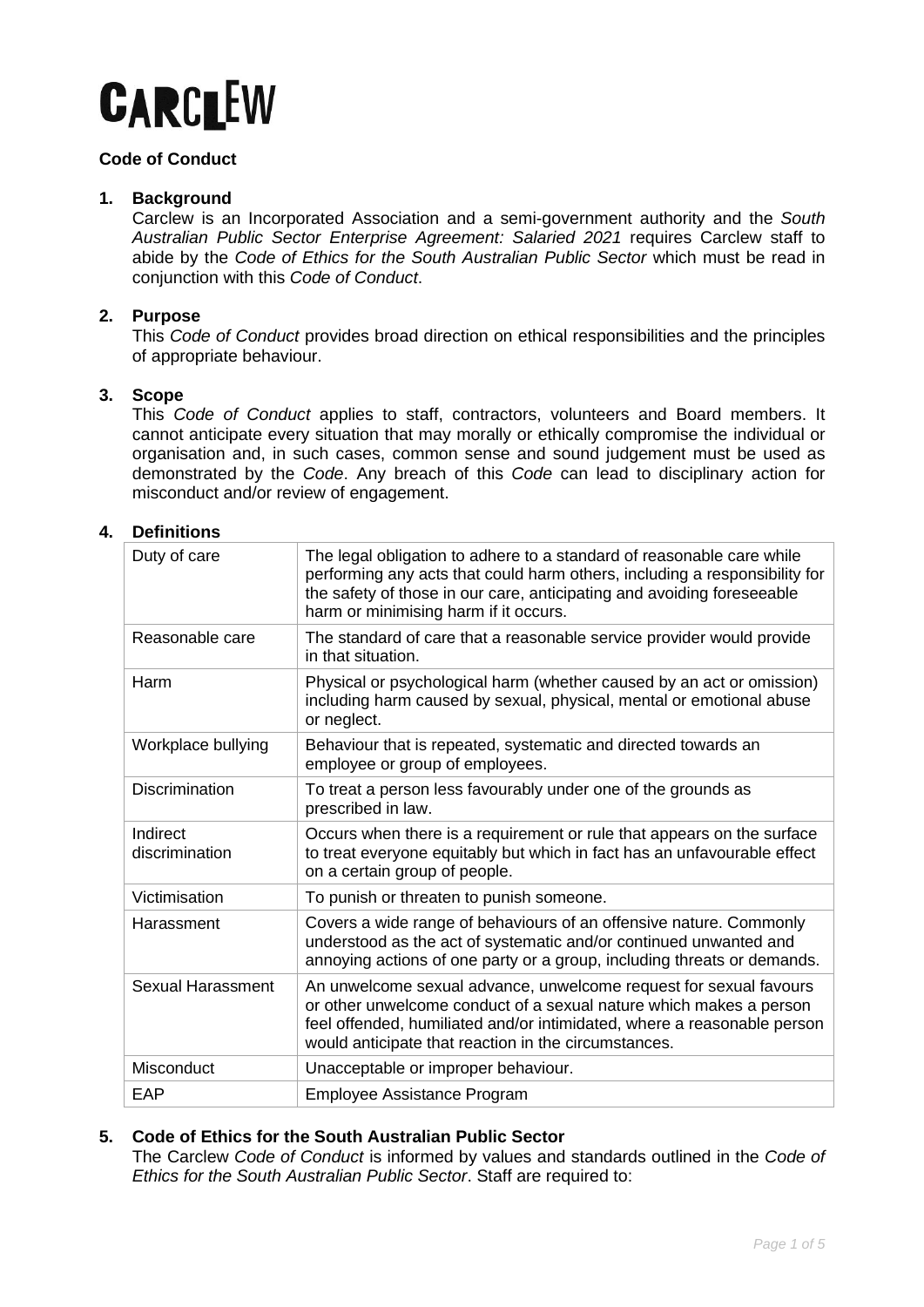

# **Code of Conduct**

# **1. Background**

Carclew is an Incorporated Association and a semi-government authority and the *South Australian Public Sector Enterprise Agreement: Salaried 2021* requires Carclew staff to abide by the *Code of Ethics for the South Australian Public Sector* which must be read in conjunction with this *Code of Conduct*.

# **2. Purpose**

This *Code of Conduct* provides broad direction on ethical responsibilities and the principles of appropriate behaviour.

# **3. Scope**

This *Code of Conduct* applies to staff, contractors, volunteers and Board members. It cannot anticipate every situation that may morally or ethically compromise the individual or organisation and, in such cases, common sense and sound judgement must be used as demonstrated by the *Code*. Any breach of this *Code* can lead to disciplinary action for misconduct and/or review of engagement.

# **4. Definitions**

| Duty of care               | The legal obligation to adhere to a standard of reasonable care while<br>performing any acts that could harm others, including a responsibility for<br>the safety of those in our care, anticipating and avoiding foreseeable<br>harm or minimising harm if it occurs.     |
|----------------------------|----------------------------------------------------------------------------------------------------------------------------------------------------------------------------------------------------------------------------------------------------------------------------|
| Reasonable care            | The standard of care that a reasonable service provider would provide<br>in that situation.                                                                                                                                                                                |
| Harm                       | Physical or psychological harm (whether caused by an act or omission)<br>including harm caused by sexual, physical, mental or emotional abuse<br>or neglect.                                                                                                               |
| Workplace bullying         | Behaviour that is repeated, systematic and directed towards an<br>employee or group of employees.                                                                                                                                                                          |
| <b>Discrimination</b>      | To treat a person less favourably under one of the grounds as<br>prescribed in law.                                                                                                                                                                                        |
| Indirect<br>discrimination | Occurs when there is a requirement or rule that appears on the surface<br>to treat everyone equitably but which in fact has an unfavourable effect<br>on a certain group of people.                                                                                        |
| Victimisation              | To punish or threaten to punish someone.                                                                                                                                                                                                                                   |
| Harassment                 | Covers a wide range of behaviours of an offensive nature. Commonly<br>understood as the act of systematic and/or continued unwanted and<br>annoying actions of one party or a group, including threats or demands.                                                         |
| <b>Sexual Harassment</b>   | An unwelcome sexual advance, unwelcome request for sexual favours<br>or other unwelcome conduct of a sexual nature which makes a person<br>feel offended, humiliated and/or intimidated, where a reasonable person<br>would anticipate that reaction in the circumstances. |
| Misconduct                 | Unacceptable or improper behaviour.                                                                                                                                                                                                                                        |
| EAP                        | Employee Assistance Program                                                                                                                                                                                                                                                |

# **5. Code of Ethics for the South Australian Public Sector**

The Carclew *Code of Conduct* is informed by values and standards outlined in the *Code of Ethics for the South Australian Public Sector*. Staff are required to: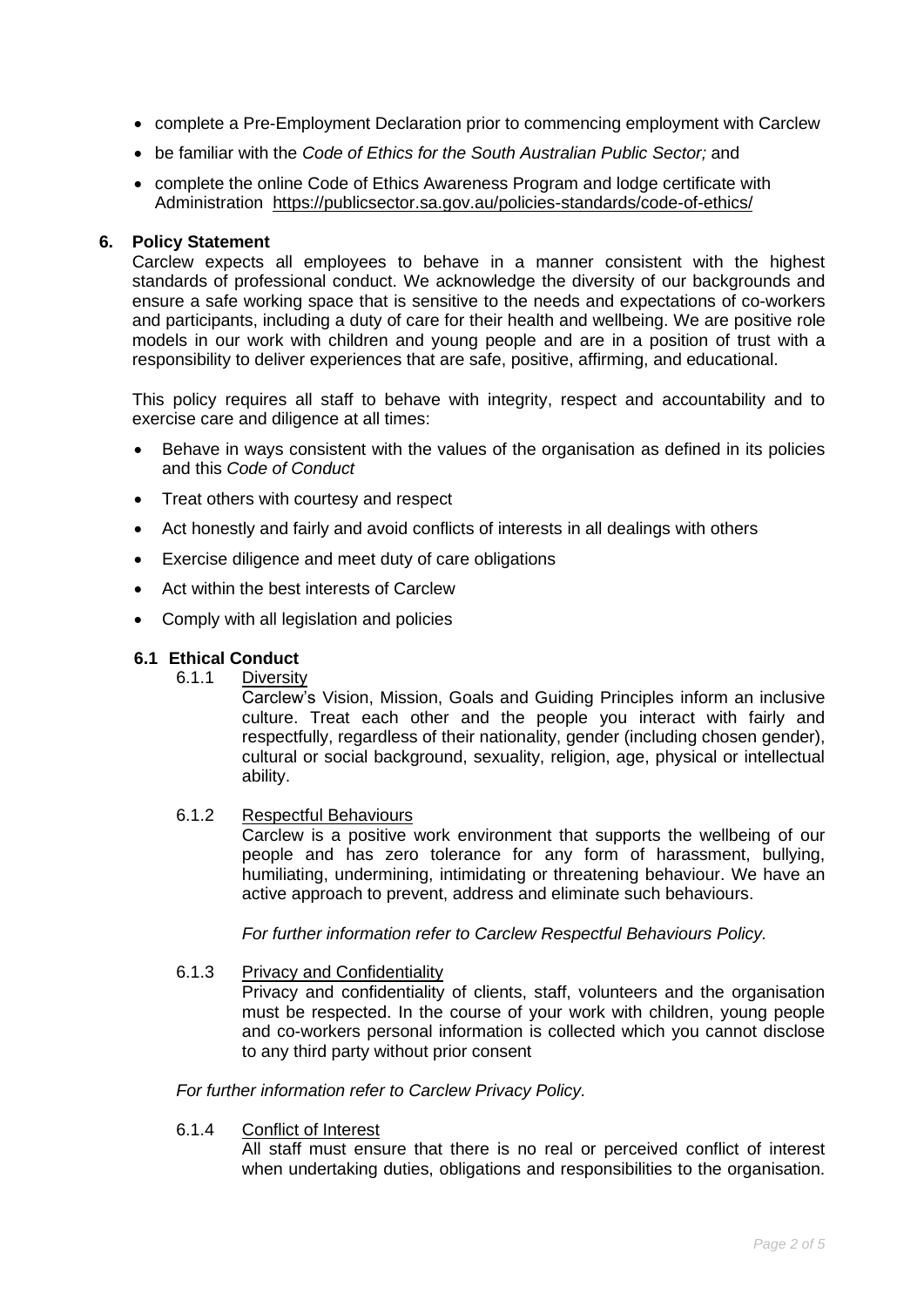- complete a Pre-Employment Declaration prior to commencing employment with Carclew
- be familiar with the *Code of Ethics for the South Australian Public Sector;* and
- complete the online Code of Ethics Awareness Program and lodge certificate with Administration <https://publicsector.sa.gov.au/policies-standards/code-of-ethics/>

## **6. Policy Statement**

Carclew expects all employees to behave in a manner consistent with the highest standards of professional conduct. We acknowledge the diversity of our backgrounds and ensure a safe working space that is sensitive to the needs and expectations of co-workers and participants, including a duty of care for their health and wellbeing. We are positive role models in our work with children and young people and are in a position of trust with a responsibility to deliver experiences that are safe, positive, affirming, and educational.

This policy requires all staff to behave with integrity, respect and accountability and to exercise care and diligence at all times:

- Behave in ways consistent with the values of the organisation as defined in its policies and this *Code of Conduct*
- Treat others with courtesy and respect
- Act honestly and fairly and avoid conflicts of interests in all dealings with others
- Exercise diligence and meet duty of care obligations
- Act within the best interests of Carclew
- Comply with all legislation and policies

## **6.1 Ethical Conduct**

6.1.1 Diversity

Carclew's Vision, Mission, Goals and Guiding Principles inform an inclusive culture. Treat each other and the people you interact with fairly and respectfully, regardless of their nationality, gender (including chosen gender), cultural or social background, sexuality, religion, age, physical or intellectual ability.

#### 6.1.2 Respectful Behaviours

Carclew is a positive work environment that supports the wellbeing of our people and has zero tolerance for any form of harassment, bullying, humiliating, undermining, intimidating or threatening behaviour. We have an active approach to prevent, address and eliminate such behaviours.

*For further information refer to Carclew Respectful Behaviours Policy.*

#### 6.1.3 Privacy and Confidentiality

Privacy and confidentiality of clients, staff, volunteers and the organisation must be respected. In the course of your work with children, young people and co-workers personal information is collected which you cannot disclose to any third party without prior consent

*For further information refer to Carclew Privacy Policy.*

6.1.4 Conflict of Interest

All staff must ensure that there is no real or perceived conflict of interest when undertaking duties, obligations and responsibilities to the organisation.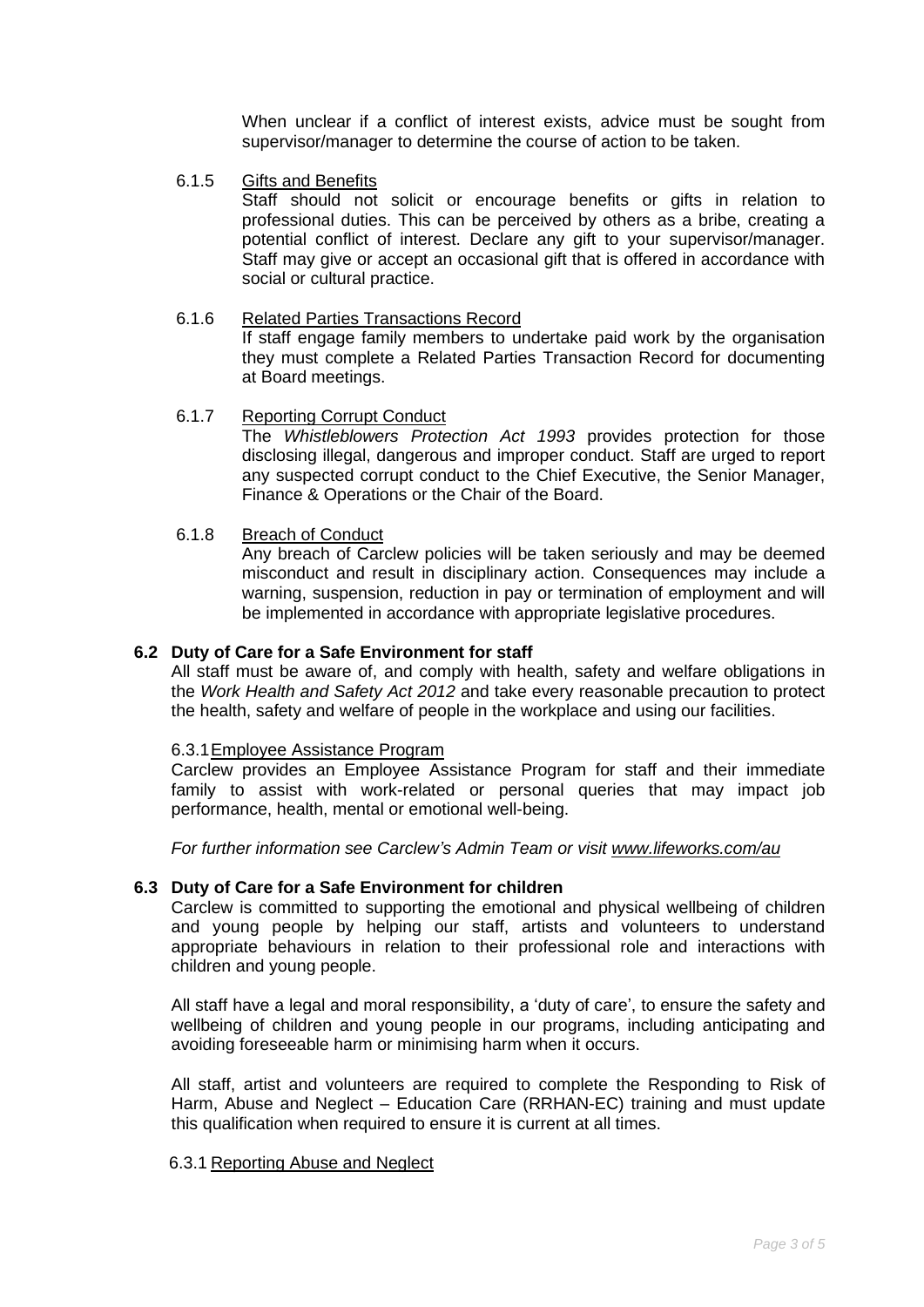When unclear if a conflict of interest exists, advice must be sought from supervisor/manager to determine the course of action to be taken.

6.1.5 Gifts and Benefits

Staff should not solicit or encourage benefits or gifts in relation to professional duties. This can be perceived by others as a bribe, creating a potential conflict of interest. Declare any gift to your supervisor/manager. Staff may give or accept an occasional gift that is offered in accordance with social or cultural practice.

# 6.1.6 Related Parties Transactions Record

If staff engage family members to undertake paid work by the organisation they must complete a Related Parties Transaction Record for documenting at Board meetings.

# 6.1.7 Reporting Corrupt Conduct

The *Whistleblowers Protection Act 1993* provides protection for those disclosing illegal, dangerous and improper conduct. Staff are urged to report any suspected corrupt conduct to the Chief Executive, the Senior Manager, Finance & Operations or the Chair of the Board.

# 6.1.8 Breach of Conduct

Any breach of Carclew policies will be taken seriously and may be deemed misconduct and result in disciplinary action. Consequences may include a warning, suspension, reduction in pay or termination of employment and will be implemented in accordance with appropriate legislative procedures.

## **6.2 Duty of Care for a Safe Environment for staff**

All staff must be aware of, and comply with health, safety and welfare obligations in the *Work Health and Safety Act 2012* and take every reasonable precaution to protect the health, safety and welfare of people in the workplace and using our facilities.

# 6.3.1Employee Assistance Program

Carclew provides an Employee Assistance Program for staff and their immediate family to assist with work-related or personal queries that may impact job performance, health, mental or emotional well-being.

*For further information see Carclew's Admin Team or visit [www.lifeworks.com/au](https://www.lifeworks.com/au)*

#### **6.3 Duty of Care for a Safe Environment for children**

Carclew is committed to supporting the emotional and physical wellbeing of children and young people by helping our staff, artists and volunteers to understand appropriate behaviours in relation to their professional role and interactions with children and young people.

All staff have a legal and moral responsibility, a 'duty of care', to ensure the safety and wellbeing of children and young people in our programs, including anticipating and avoiding foreseeable harm or minimising harm when it occurs.

All staff, artist and volunteers are required to complete the Responding to Risk of Harm, Abuse and Neglect – Education Care (RRHAN-EC) training and must update this qualification when required to ensure it is current at all times.

# 6.3.1 Reporting Abuse and Neglect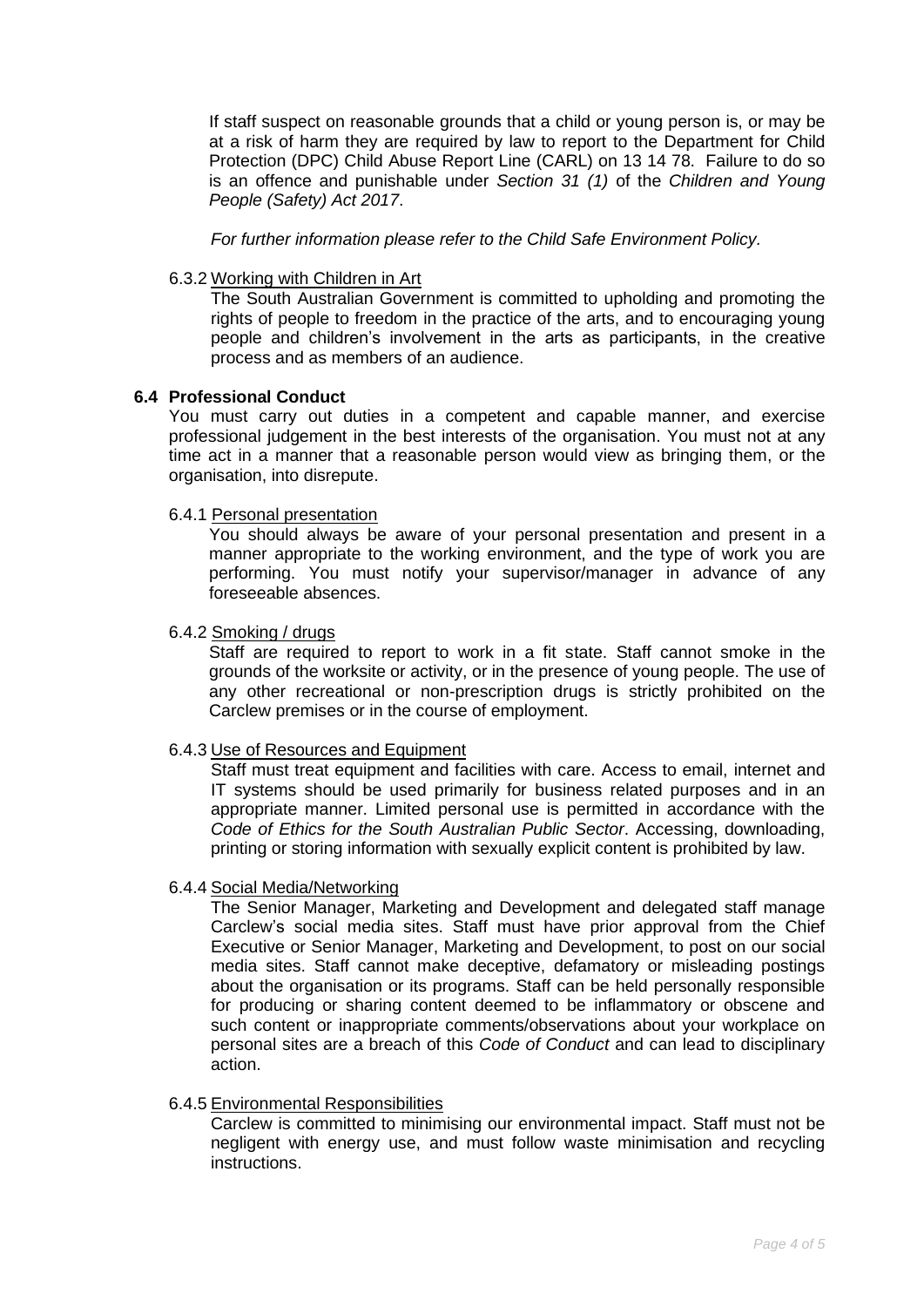If staff suspect on reasonable grounds that a child or young person is, or may be at a risk of harm they are required by law to report to the Department for Child Protection (DPC) Child Abuse Report Line (CARL) on 13 14 78. Failure to do so is an offence and punishable under *Section 31 (1)* of the *Children and Young People (Safety) Act 2017*.

*For further information please refer to the Child Safe Environment Policy.*

#### 6.3.2 Working with Children in Art

The South Australian Government is committed to upholding and promoting the rights of people to freedom in the practice of the arts, and to encouraging young people and children's involvement in the arts as participants, in the creative process and as members of an audience.

# **6.4 Professional Conduct**

You must carry out duties in a competent and capable manner, and exercise professional judgement in the best interests of the organisation. You must not at any time act in a manner that a reasonable person would view as bringing them, or the organisation, into disrepute.

# 6.4.1 Personal presentation

You should always be aware of your personal presentation and present in a manner appropriate to the working environment, and the type of work you are performing. You must notify your supervisor/manager in advance of any foreseeable absences.

#### 6.4.2 Smoking / drugs

Staff are required to report to work in a fit state. Staff cannot smoke in the grounds of the worksite or activity, or in the presence of young people. The use of any other recreational or non-prescription drugs is strictly prohibited on the Carclew premises or in the course of employment.

#### 6.4.3 Use of Resources and Equipment

Staff must treat equipment and facilities with care. Access to email, internet and IT systems should be used primarily for business related purposes and in an appropriate manner. Limited personal use is permitted in accordance with the *Code of Ethics for the South Australian Public Sector*. Accessing, downloading, printing or storing information with sexually explicit content is prohibited by law.

#### 6.4.4 Social Media/Networking

The Senior Manager, Marketing and Development and delegated staff manage Carclew's social media sites. Staff must have prior approval from the Chief Executive or Senior Manager, Marketing and Development, to post on our social media sites. Staff cannot make deceptive, defamatory or misleading postings about the organisation or its programs. Staff can be held personally responsible for producing or sharing content deemed to be inflammatory or obscene and such content or inappropriate comments/observations about your workplace on personal sites are a breach of this *Code of Conduct* and can lead to disciplinary action.

# 6.4.5 Environmental Responsibilities

Carclew is committed to minimising our environmental impact. Staff must not be negligent with energy use, and must follow waste minimisation and recycling instructions.